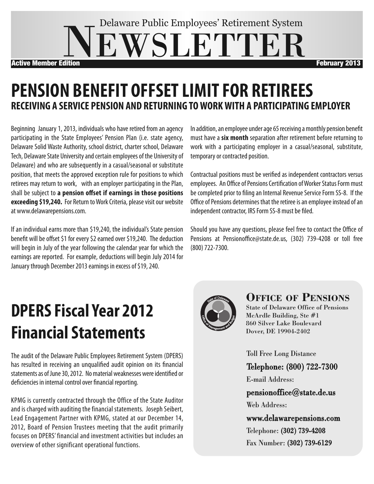# **WSLETTER** Delaware Public Employees' Retirement System Active Member Edition February 2013

## **PENSION BENEFIT OFFSETLIMITFOR RETIREES RECEIVING A SERVICE PENSION AND RETURNING TOWORKWITH A PARTICIPATING EMPLOYER**

Beginning January 1, 2013, individuals who have retired from an agency participating in the State Employees' Pension Plan (i.e. state agency, Delaware Solid Waste Authority, school district, charter school, Delaware Tech, Delaware State University and certain employees of the University of Delaware) and who are subsequently in a casual/seasonal or substitute position, that meets the approved exception rule for positions to which retirees may return to work, with an employer participating in the Plan, shall be subject to **a pension offset if earnings in those positions exceeding \$19,240.** For Return to Work Criteria, please visit our website at www.delawarepensions.com.

If an individual earns more than \$19,240, the individual's State pension benefit will be offset \$1 for every \$2 earned over \$19,240. The deduction will begin in July of the year following the calendar year for which the earnings are reported. For example, deductions will begin July 2014 for January through December 2013 earnings in excess of \$19, 240.

In addition, an employee under age 65 receiving a monthly pension benefit must have a **six month** separation after retirement before returning to work with a participating employer in a casual/seasonal, substitute, temporary or contracted position.

Contractual positions must be verified as independent contractors versus employees. An Office of Pensions Certification of Worker Status Form must be completed prior to filing an Internal Revenue Service Form SS-8. If the Office of Pensions determines that the retiree is an employee instead of an independent contractor, IRS Form SS-8 must be filed.

Should you have any questions, please feel free to contact the Office of Pensions at Pensionoffice@state.de.us, (302) 739-4208 or toll free (800)722-7300.

# **DPERSFiscal Year 2012 Financial Statements**

The audit of the Delaware Public Employees Retirement System (DPERS) has resulted in receiving an unqualified audit opinion on its financial statements as of June 30, 2012. No material weaknesses were identified or deficiencies in internal control over financial reporting.

KPMG is currently contracted through the Office of the State Auditor and is charged with auditing the financial statements. Joseph Seibert, Lead Engagement Partner with KPMG, stated at our December 14, 2012, Board of Pension Trustees meeting that the audit primarily focuses on DPERS' financial and investment activities but includes an overview of other significant operational functions.



#### **Office Of PensiOns**

State of Delaware Office of Pensions McArdle Building, Ste #1 860 Silver Lake Boulevard Dover, DE 19904-2402

Toll Free Long Distance

Telephone: (800) 722-7300

E-mail Address:

pensionoffice@state.de.us Web Address:

www.delawarepensions.com Telephone: (302) 739-4208 Fax Number: (302) 739-6129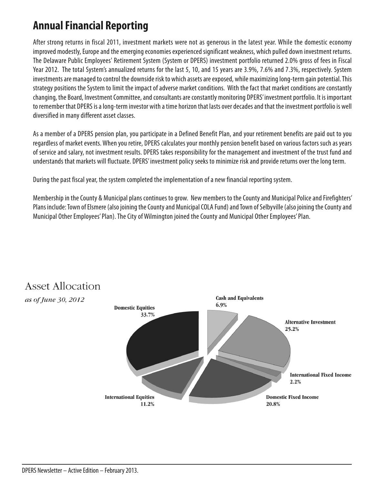#### **AnnualFinancial Reporting**

After strong returns in fiscal 2011, investment markets were not as generous in the latest year. While the domestic economy improved modestly, Europe and the emerging economies experienced significant weakness, which pulled down investment returns. The Delaware Public Employees' Retirement System (System or DPERS) investment portfolio returned 2.0% gross of fees in Fiscal Year 2012. The total System's annualized returns for the last 5, 10, and 15 years are 3.9%, 7.6% and 7.3%, respectively. System investments are managed to control the downside risk to which assets are exposed, while maximizing long-term gain potential. This strategy positions the System to limit the impact of adverse market conditions. With the fact that market conditions are constantly changing, the Board, Investment Committee, and consultants are constantly monitoring DPERS' investment portfolio. It is important to remember that DPERS is a long-term investor with a time horizon that lasts over decades and that the investment portfolio is well diversified in many different asset classes.

As a member of a DPERS pension plan, you participate in a Defined Benefit Plan, and your retirement benefits are paid out to you regardless of market events. When you retire, DPERS calculates your monthly pension benefit based on various factors such as years of service and salary, not investment results. DPERS takes responsibility for the management and investment of the trust fund and understands that markets will fluctuate. DPERS' investment policy seeks to minimize risk and provide returns over the long term.

During the past fiscal year, the system completed the implementation of a new financial reporting system.

Membership in the County & Municipal plans continues to grow. New members to the County and Municipal Police and Firefighters' Plans include: Town of Elsmere (also joining the County and Municipal COLA Fund) and Town of Selbyville (also joining the County and Municipal Other Employees' Plan). The City of Wilmington joined the County and Municipal Other Employees' Plan.



### **Asset Allocation**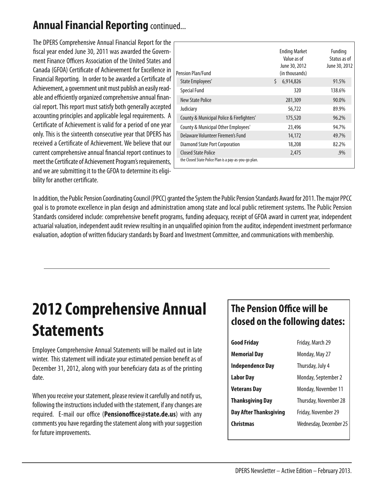#### **AnnualFinancial Reporting** continued...

The DPERS Comprehensive Annual Financial Report for the fiscal year ended June 30, 2011 was awarded the Government Finance Officers Association of the United States and Canada (GFOA) Certificate of Achievement for Excellence in Financial Reporting. In order to be awarded a Certificate of Achievement, a government unit must publish an easily readable and efficiently organized comprehensive annual financial report.This report must satisfyboth generallyaccepted accounting principles and applicable legal requirements. A Certificate of Achievement is valid for a period of one year only.This is the sixteenth consecutive year that DPERS has received a Certificate of Achievement. We believe that our current comprehensive annual financial report continues to meet the Certificate of Achievement Program's requirements, and we are submitting it to the GFOA to determine its eligibility for another certificate.

| Pension Plan/Fund                                                            | <b>Ending Market</b><br>Value as of<br>June 30, 2012<br>(in thousands) | Funding<br>Status as of<br>June 30, 2012 |
|------------------------------------------------------------------------------|------------------------------------------------------------------------|------------------------------------------|
| State Employees'                                                             | \$<br>6,914,826                                                        | 91.5%                                    |
| <b>Special Fund</b>                                                          | 320                                                                    | 138.6%                                   |
| New State Police                                                             | 281,309                                                                | 90.0%                                    |
| Judiciary                                                                    | 56,722                                                                 | 89.9%                                    |
| County & Municipal Police & Firefighters'                                    | 175,520                                                                | 96.2%                                    |
| County & Municipal Other Employees'                                          | 23,496                                                                 | 94.7%                                    |
| Delaware Volunteer Firemen's Fund                                            | 14,172                                                                 | 49.7%                                    |
| <b>Diamond State Port Corporation</b>                                        | 18,208                                                                 | 82.2%                                    |
| Closed State Police<br>the Closed State Police Plan is a pay-as-you-go plan. | 2,475                                                                  | $.9\%$                                   |

In addition, the Public Pension Coordinating Council (PPCC) granted the System the Public Pension Standards Award for 2011. The major PPCC goal is to promote excellence in plan design and administration among state and local public retirement systems.The Public Pension Standards considered include: comprehensive benefit programs, funding adequacy, receipt of GFOA award in current year, independent actuarial valuation, independent audit review resulting in an unqualified opinion from the auditor, independent investment performance evaluation, adoption of written fiduciary standards by Board and Investment Committee, and communications with membership.

# **2012 Comprehensive Annual Statements**

Employee Comprehensive Annual Statements will be mailed out in late winter. This statement will indicate your estimated pension benefit as of December 31, 2012, along with your beneficiary data as of the printing date.

When you receive your statement, please review it carefully and notify us, following the instructions included with the statement, if any changes are required. E-mail our office (**Pensionoffice@state.de.us**) with any comments you have regarding the statement along with your suggestion for future improvements.

#### **The Pension Office will be closed on the following dates:**

| <b>Good Friday</b>            | Friday, March 29       |  |
|-------------------------------|------------------------|--|
| Memorial Day                  | Monday, May 27         |  |
| <b>Independence Day</b>       | Thursday, July 4       |  |
| Labor Day                     | Monday, September 2    |  |
| <b>Veterans Day</b>           | Monday, November 11    |  |
| <b>Thanksgiving Day</b>       | Thursday, November 28  |  |
| <b>Day After Thanksgiving</b> | Friday, November 29    |  |
| Christmas                     | Wednesday, December 25 |  |
|                               |                        |  |